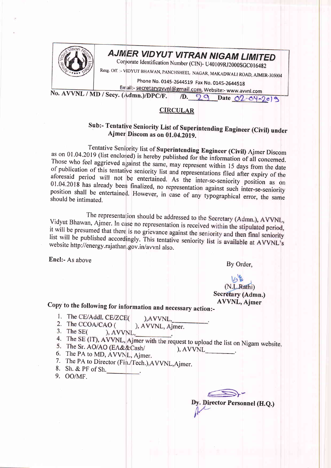

## AJMER VIDYUT VITRAN NIGAM LIMITED

Corporate Identification Number (CIN)- U40109RJ2000SGC016482

Resg. Off. :- VIDYUT BHAWAN, PANCHSHEEL NAGAR, MAKADWALI ROAD, AJMER-305004

Phone No. 0145-2644519 Fax No. 0145-2644518

Email:- secretaryavvnl@gmail.com, Website:- www.avvnl.com No. AVVNL / MD / Secy. (Admn.)/DPC/F.

1D. 29 Date 02-04-2019

## **CIRCULAR**

## Sub:- Tentative Seniority List of Superintending Engineer (Civil) under Ajmer Discom as on 01.04.2019.

Tentative Seniority list of Superintending Engineer (Civil) Ajmer Discom as on 01.04.2019 (list enclosed) is hereby published for the information of all concerned. Those who feel aggrieved against the same, may represent within 15 days from the date of publication of this tentative seniority list and representations filed after expiry of the aforesaid period will not be entertained. As the inter-se-seniority position as on 01.04.2018 has already been finalized, no representation against such inter-se-seniority position shall be entertained. However, in case of any typographical error, the same should be intimated.

The representation should be addressed to the Secretary (Admn.), AVVNL, Vidyut Bhawan, Ajmer. In case no representation is received within the stipulated period, it will be presumed that there is no grievance against the seniority and then final seniority list will be published accordingly. This tentative seniority list is available at AVVNL's website http://energy.rajathan.gov.in/avvnl also.

Encl:- As above

By Order,

## (N.L.Rathi) Secretary (Admn.) **AVVNL, Ajmer**

Copy to the following for information and necessary action:-

- 1. The CE/Addl. CE/ZCE( ), AVVNL,
- 2. The CCOA/CAO ( ), AVVNL, Ajmer.
- 3. The  $SE($ ), AVVNL,
- 
- 4. The SE (IT), AVVNL, Ajmer with the request to upload the list on Nigam website. 5. The Sr. AO/AO (EA&&Cash/  $AVVNL$
- 6. The PA to MD, AVVNL, Ajmer.
- 7. The PA to Director (Fin./Tech.), AVVNL, Ajmer.
- 8. Sh. & PF of Sh.
- 9. OO/MF.

Dy. Director Personnel (H.Q.)